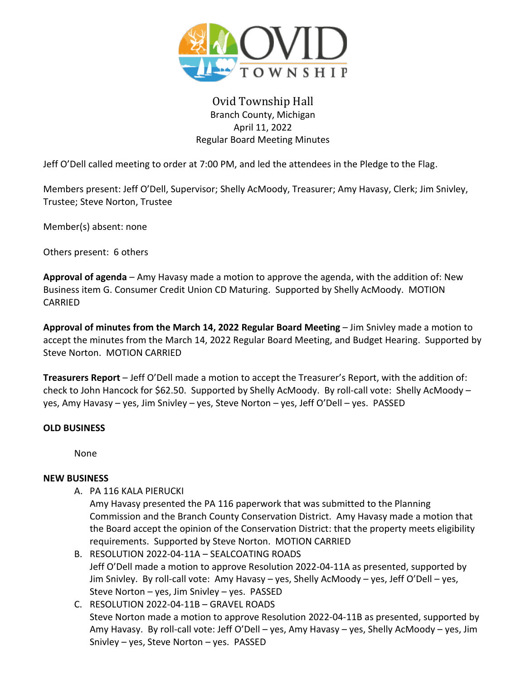

# Ovid Township Hall Branch County, Michigan April 11, 2022 Regular Board Meeting Minutes

Jeff O'Dell called meeting to order at 7:00 PM, and led the attendees in the Pledge to the Flag.

Members present: Jeff O'Dell, Supervisor; Shelly AcMoody, Treasurer; Amy Havasy, Clerk; Jim Snivley, Trustee; Steve Norton, Trustee

Member(s) absent: none

Others present: 6 others

**Approval of agenda** – Amy Havasy made a motion to approve the agenda, with the addition of: New Business item G. Consumer Credit Union CD Maturing. Supported by Shelly AcMoody. MOTION CARRIED

**Approval of minutes from the March 14, 2022 Regular Board Meeting** – Jim Snivley made a motion to accept the minutes from the March 14, 2022 Regular Board Meeting, and Budget Hearing. Supported by Steve Norton. MOTION CARRIED

**Treasurers Report** – Jeff O'Dell made a motion to accept the Treasurer's Report, with the addition of: check to John Hancock for \$62.50. Supported by Shelly AcMoody. By roll-call vote: Shelly AcMoody – yes, Amy Havasy – yes, Jim Snivley – yes, Steve Norton – yes, Jeff O'Dell – yes. PASSED

#### **OLD BUSINESS**

None

#### **NEW BUSINESS**

A. PA 116 KALA PIERUCKI

Amy Havasy presented the PA 116 paperwork that was submitted to the Planning Commission and the Branch County Conservation District. Amy Havasy made a motion that the Board accept the opinion of the Conservation District: that the property meets eligibility requirements. Supported by Steve Norton. MOTION CARRIED

- B. RESOLUTION 2022-04-11A SEALCOATING ROADS Jeff O'Dell made a motion to approve Resolution 2022-04-11A as presented, supported by Jim Snivley. By roll-call vote: Amy Havasy – yes, Shelly AcMoody – yes, Jeff O'Dell – yes, Steve Norton – yes, Jim Snivley – yes. PASSED
- C. RESOLUTION 2022-04-11B GRAVEL ROADS Steve Norton made a motion to approve Resolution 2022-04-11B as presented, supported by Amy Havasy. By roll-call vote: Jeff O'Dell – yes, Amy Havasy – yes, Shelly AcMoody – yes, Jim Snivley – yes, Steve Norton – yes. PASSED